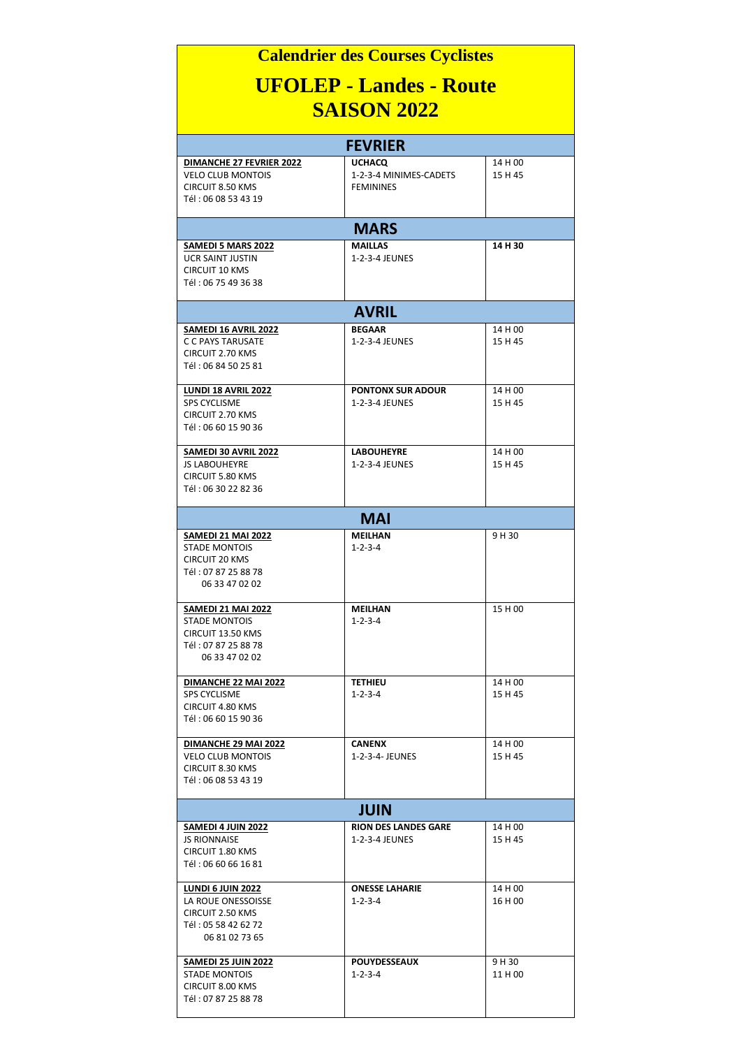| <b>Calendrier des Courses Cyclistes</b>                                                                                                          |                                                             |                    |  |
|--------------------------------------------------------------------------------------------------------------------------------------------------|-------------------------------------------------------------|--------------------|--|
| <b>UFOLEP - Landes - Route</b><br><b>SAISON 2022</b>                                                                                             |                                                             |                    |  |
| <b>FEVRIER</b>                                                                                                                                   |                                                             |                    |  |
| DIMANCHE 27 FEVRIER 2022<br><b>VELO CLUB MONTOIS</b><br><b>CIRCUIT 8.50 KMS</b><br>Tél: 06 08 53 43 19                                           | <b>UCHACQ</b><br>1-2-3-4 MINIMES-CADETS<br><b>FEMININES</b> | 14 H 00<br>15 H 45 |  |
| <b>MARS</b>                                                                                                                                      |                                                             |                    |  |
| SAMEDI 5 MARS 2022<br><b>UCR SAINT JUSTIN</b><br><b>CIRCUIT 10 KMS</b><br>Tél: 06 75 49 36 38                                                    | <b>MAILLAS</b><br>1-2-3-4 JEUNES                            | 14 H 30            |  |
| <b>AVRIL</b>                                                                                                                                     |                                                             |                    |  |
| SAMEDI 16 AVRIL 2022<br>C C PAYS TARUSATE<br>CIRCUIT 2.70 KMS<br>Tél: 06 84 50 25 81                                                             | <b>BEGAAR</b><br>1-2-3-4 JEUNES                             | 14 H 00<br>15 H 45 |  |
| LUNDI 18 AVRIL 2022<br><b>SPS CYCLISME</b><br><b>CIRCUIT 2.70 KMS</b><br>Tél: 06 60 15 90 36                                                     | <b>PONTONX SUR ADOUR</b><br>1-2-3-4 JEUNES                  | 14 H 00<br>15 H 45 |  |
| SAMEDI 30 AVRIL 2022<br><b>JS LABOUHEYRE</b><br><b>CIRCUIT 5.80 KMS</b><br>Tél: 06 30 22 82 36                                                   | <b>LABOUHEYRE</b><br>1-2-3-4 JEUNES                         | 14 H 00<br>15 H 45 |  |
| <b>MAI</b>                                                                                                                                       |                                                             |                    |  |
| <b>SAMEDI 21 MAI 2022</b><br><b>STADE MONTOIS</b><br><b>CIRCUIT 20 KMS</b><br>Tél: 07 87 25 88 78<br>06 33 47 02 02<br><b>SAMEDI 21 MAI 2022</b> | <b>MEILHAN</b><br>$1 - 2 - 3 - 4$<br>MEILHAN                | 9 H 30<br>15 H 00  |  |
| STADE MONTOIS<br>CIRCUIT 13.50 KMS<br>Tél: 07 87 25 88 78<br>06 33 47 02 02                                                                      | $1 - 2 - 3 - 4$                                             |                    |  |
| DIMANCHE 22 MAI 2022<br><b>SPS CYCLISME</b><br>CIRCUIT 4.80 KMS<br>Tél: 06 60 15 90 36                                                           | <b>TETHIEU</b><br>$1 - 2 - 3 - 4$                           | 14 H 00<br>15 H 45 |  |
| DIMANCHE 29 MAI 2022<br><b>VELO CLUB MONTOIS</b><br>CIRCUIT 8.30 KMS<br>Tél: 06 08 53 43 19                                                      | <b>CANENX</b><br>1-2-3-4- JEUNES                            | 14 H 00<br>15 H 45 |  |
| <b>JUIN</b>                                                                                                                                      |                                                             |                    |  |
| <b>SAMEDI 4 JUIN 2022</b><br><b>JS RIONNAISE</b><br>CIRCUIT 1.80 KMS<br>Tél: 06 60 66 16 81                                                      | <b>RION DES LANDES GARE</b><br>1-2-3-4 JEUNES               | 14 H 00<br>15 H 45 |  |
| <b>LUNDI 6 JUIN 2022</b><br>LA ROUE ONESSOISSE<br>CIRCUIT 2.50 KMS<br>Tél: 05 58 42 62 72<br>06 81 02 73 65                                      | <b>ONESSE LAHARIE</b><br>$1 - 2 - 3 - 4$                    | 14 H 00<br>16 H 00 |  |
| <b>SAMEDI 25 JUIN 2022</b><br><b>STADE MONTOIS</b><br>CIRCUIT 8.00 KMS<br>Tél: 07 87 25 88 78                                                    | <b>POUYDESSEAUX</b><br>1-2-3-4                              | 9 H 30<br>11 H 00  |  |